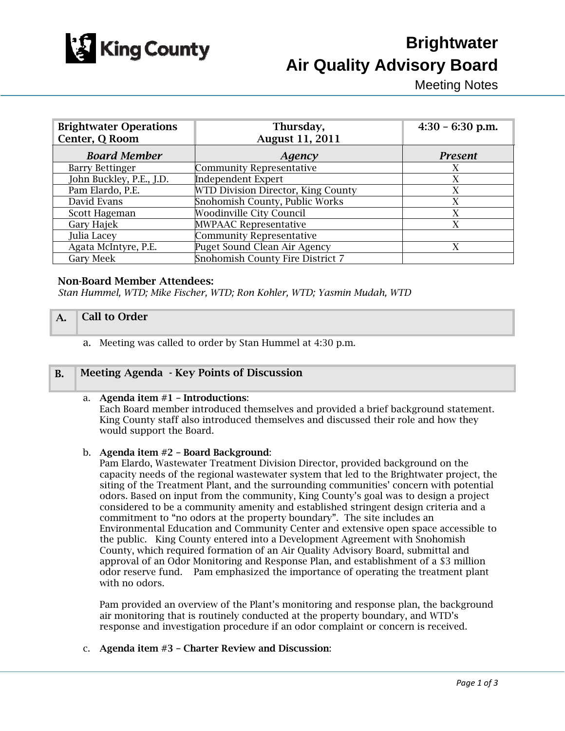

# **Brightwater Air Quality Advisory Board**

Meeting Notes

| <b>Brightwater Operations</b><br>Center, Q Room | Thursday,<br><b>August 11, 2011</b> | $4:30 - 6:30$ p.m. |
|-------------------------------------------------|-------------------------------------|--------------------|
| <b>Board Member</b>                             | Agency                              | <b>Present</b>     |
| <b>Barry Bettinger</b>                          | <b>Community Representative</b>     | X                  |
| John Buckley, P.E., J.D.                        | <b>Independent Expert</b>           | X                  |
| Pam Elardo, P.E.                                | WTD Division Director, King County  | X                  |
| David Evans                                     | Snohomish County, Public Works      | X                  |
| Scott Hageman                                   | <b>Woodinville City Council</b>     | X                  |
| Gary Hajek                                      | <b>MWPAAC Representative</b>        | X                  |
| Julia Lacey                                     | <b>Community Representative</b>     |                    |
| Agata McIntyre, P.E.                            | Puget Sound Clean Air Agency        | X                  |
| <b>Gary Meek</b>                                | Snohomish County Fire District 7    |                    |

# Non-Board Member Attendees:

*Stan Hummel, WTD; Mike Fischer, WTD; Ron Kohler, WTD; Yasmin Mudah, WTD* 

# A. Call to Order

a. Meeting was called to order by Stan Hummel at 4:30 p.m.

#### B. Meeting Agenda - Key Points of Discussion

#### a. Agenda item #1 – Introductions:

Each Board member introduced themselves and provided a brief background statement. King County staff also introduced themselves and discussed their role and how they would support the Board.

#### b. Agenda item #2 – Board Background:

Pam Elardo, Wastewater Treatment Division Director, provided background on the capacity needs of the regional wastewater system that led to the Brightwater project, the siting of the Treatment Plant, and the surrounding communities' concern with potential odors. Based on input from the community, King County's goal was to design a project considered to be a community amenity and established stringent design criteria and a commitment to "no odors at the property boundary". The site includes an Environmental Education and Community Center and extensive open space accessible to the public. King County entered into a Development Agreement with Snohomish County, which required formation of an Air Quality Advisory Board, submittal and approval of an Odor Monitoring and Response Plan, and establishment of a \$3 million odor reserve fund. Pam emphasized the importance of operating the treatment plant with no odors.

Pam provided an overview of the Plant's monitoring and response plan, the background air monitoring that is routinely conducted at the property boundary, and WTD's response and investigation procedure if an odor complaint or concern is received.

#### c. Agenda item #3 – Charter Review and Discussion: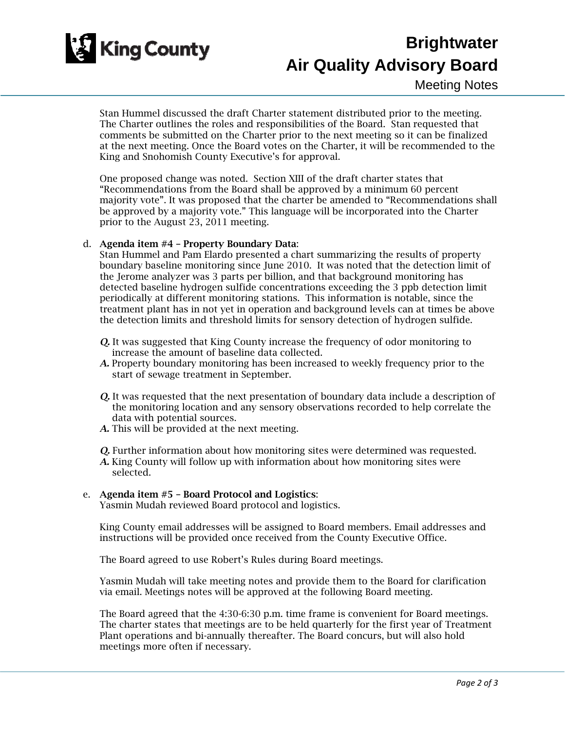

# **Brightwater Air Quality Advisory Board**

Stan Hummel discussed the draft Charter statement distributed prior to the meeting. The Charter outlines the roles and responsibilities of the Board. Stan requested that comments be submitted on the Charter prior to the next meeting so it can be finalized at the next meeting. Once the Board votes on the Charter, it will be recommended to the King and Snohomish County Executive's for approval.

One proposed change was noted. Section XIII of the draft charter states that "Recommendations from the Board shall be approved by a minimum 60 percent majority vote". It was proposed that the charter be amended to "Recommendations shall be approved by a majority vote." This language will be incorporated into the Charter prior to the August 23, 2011 meeting.

# d. Agenda item #4 – Property Boundary Data:

Stan Hummel and Pam Elardo presented a chart summarizing the results of property boundary baseline monitoring since June 2010. It was noted that the detection limit of the Jerome analyzer was 3 parts per billion, and that background monitoring has detected baseline hydrogen sulfide concentrations exceeding the 3 ppb detection limit periodically at different monitoring stations. This information is notable, since the treatment plant has in not yet in operation and background levels can at times be above the detection limits and threshold limits for sensory detection of hydrogen sulfide.

- *Q.* It was suggested that King County increase the frequency of odor monitoring to increase the amount of baseline data collected.
- *A.* Property boundary monitoring has been increased to weekly frequency prior to the start of sewage treatment in September.
- *Q.* It was requested that the next presentation of boundary data include a description of the monitoring location and any sensory observations recorded to help correlate the data with potential sources.
- *A.* This will be provided at the next meeting.

*Q.* Further information about how monitoring sites were determined was requested.

*A.* King County will follow up with information about how monitoring sites were selected.

#### e. Agenda item #5 – Board Protocol and Logistics:

Yasmin Mudah reviewed Board protocol and logistics.

King County email addresses will be assigned to Board members. Email addresses and instructions will be provided once received from the County Executive Office.

The Board agreed to use Robert's Rules during Board meetings.

Yasmin Mudah will take meeting notes and provide them to the Board for clarification via email. Meetings notes will be approved at the following Board meeting.

The Board agreed that the 4:30-6:30 p.m. time frame is convenient for Board meetings. The charter states that meetings are to be held quarterly for the first year of Treatment Plant operations and bi-annually thereafter. The Board concurs, but will also hold meetings more often if necessary.